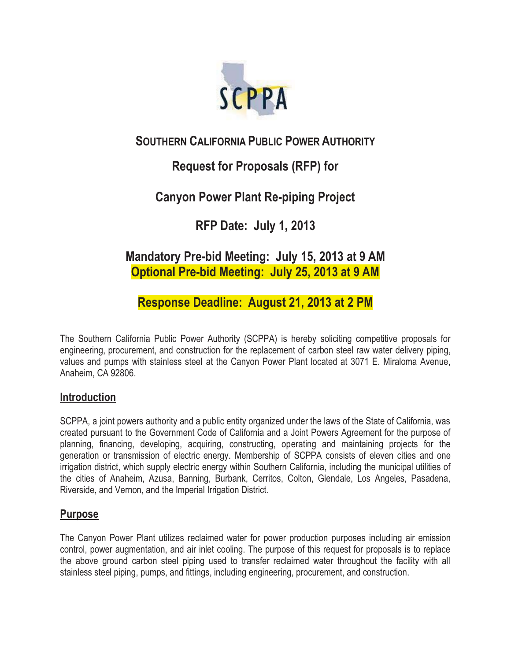

## **SOUTHERN CALIFORNIA PUBLIC POWER AUTHORITY**

## **Request for Proposals (RFP) for**

## **Canyon Power Plant Re-piping Project**

**RFP Date: July 1, 2013** 

## **Mandatory Pre-bid Meeting: July 15, 2013 at 9 AM Optional Pre-bid Meeting: July 25, 2013 at 9 AM**

**Response Deadline: August 21, 2013 at 2 PM** 

The Southern California Public Power Authority (SCPPA) is hereby soliciting competitive proposals for engineering, procurement, and construction for the replacement of carbon steel raw water delivery piping, values and pumps with stainless steel at the Canyon Power Plant located at 3071 E. Miraloma Avenue, Anaheim, CA 92806.

## **Introduction**

SCPPA, a joint powers authority and a public entity organized under the laws of the State of California, was created pursuant to the Government Code of California and a Joint Powers Agreement for the purpose of planning, financing, developing, acquiring, constructing, operating and maintaining projects for the generation or transmission of electric energy. Membership of SCPPA consists of eleven cities and one irrigation district, which supply electric energy within Southern California, including the municipal utilities of the cities of Anaheim, Azusa, Banning, Burbank, Cerritos, Colton, Glendale, Los Angeles, Pasadena, Riverside, and Vernon, and the Imperial Irrigation District.

## **Purpose**

The Canyon Power Plant utilizes reclaimed water for power production purposes including air emission control, power augmentation, and air inlet cooling. The purpose of this request for proposals is to replace the above ground carbon steel piping used to transfer reclaimed water throughout the facility with all stainless steel piping, pumps, and fittings, including engineering, procurement, and construction.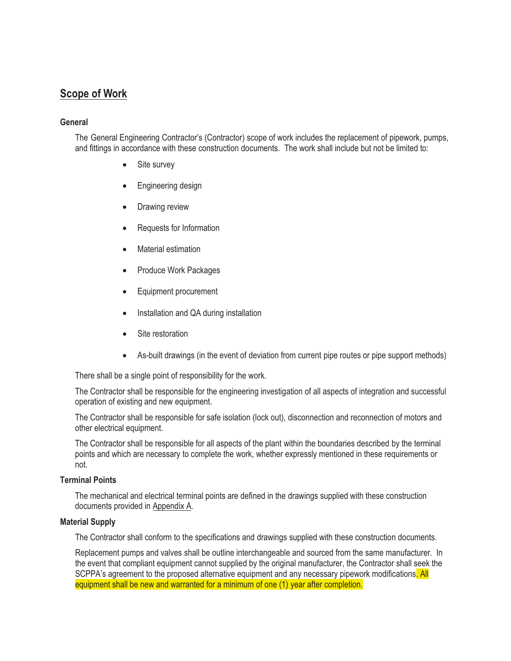## **Scope of Work**

#### **General**

The General Engineering Contractor's (Contractor) scope of work includes the replacement of pipework, pumps, and fittings in accordance with these construction documents. The work shall include but not be limited to:

- $\bullet$ Site survey
- -Engineering design
- -Drawing review
- $\bullet$ Requests for Information
- -Material estimation
- -Produce Work Packages
- $\bullet$ Equipment procurement
- $\bullet$ Installation and QA during installation
- -Site restoration
- $\bullet$ As-built drawings (in the event of deviation from current pipe routes or pipe support methods)

There shall be a single point of responsibility for the work.

The Contractor shall be responsible for the engineering investigation of all aspects of integration and successful operation of existing and new equipment.

The Contractor shall be responsible for safe isolation (lock out), disconnection and reconnection of motors and other electrical equipment.

The Contractor shall be responsible for all aspects of the plant within the boundaries described by the terminal points and which are necessary to complete the work, whether expressly mentioned in these requirements or not.

#### **Terminal Points**

The mechanical and electrical terminal points are defined in the drawings supplied with these construction documents provided in Appendix A.

#### **Material Supply**

The Contractor shall conform to the specifications and drawings supplied with these construction documents.

Replacement pumps and valves shall be outline interchangeable and sourced from the same manufacturer. In the event that compliant equipment cannot supplied by the original manufacturer, the Contractor shall seek the SCPPA's agreement to the proposed alternative equipment and any necessary pipework modifications. All equipment shall be new and warranted for a minimum of one (1) year after completion.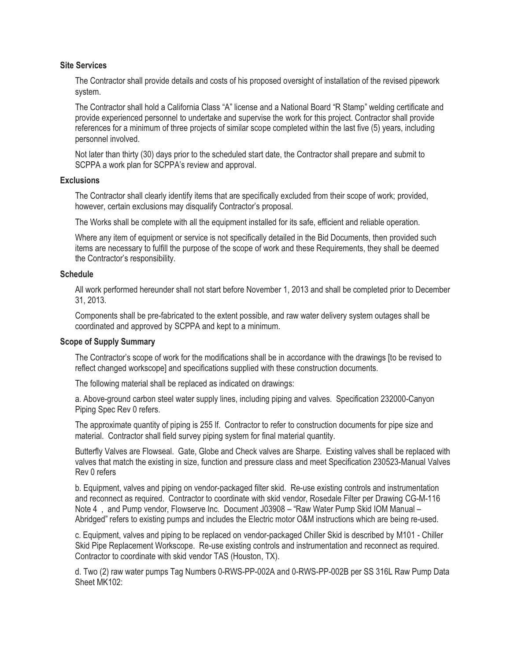#### **Site Services**

The Contractor shall provide details and costs of his proposed oversight of installation of the revised pipework system.

The Contractor shall hold a California Class "A" license and a National Board "R Stamp" welding certificate and provide experienced personnel to undertake and supervise the work for this project. Contractor shall provide references for a minimum of three projects of similar scope completed within the last five (5) years, including personnel involved.

Not later than thirty (30) days prior to the scheduled start date, the Contractor shall prepare and submit to SCPPA a work plan for SCPPA's review and approval.

#### **Exclusions**

The Contractor shall clearly identify items that are specifically excluded from their scope of work; provided, however, certain exclusions may disqualify Contractor's proposal.

The Works shall be complete with all the equipment installed for its safe, efficient and reliable operation.

Where any item of equipment or service is not specifically detailed in the Bid Documents, then provided such items are necessary to fulfill the purpose of the scope of work and these Requirements, they shall be deemed the Contractor's responsibility.

#### **Schedule**

All work performed hereunder shall not start before November 1, 2013 and shall be completed prior to December 31, 2013.

Components shall be pre-fabricated to the extent possible, and raw water delivery system outages shall be coordinated and approved by SCPPA and kept to a minimum.

#### **Scope of Supply Summary**

The Contractor's scope of work for the modifications shall be in accordance with the drawings [to be revised to reflect changed workscope] and specifications supplied with these construction documents.

The following material shall be replaced as indicated on drawings:

a. Above-ground carbon steel water supply lines, including piping and valves. Specification 232000-Canyon Piping Spec Rev 0 refers.

The approximate quantity of piping is 255 lf. Contractor to refer to construction documents for pipe size and material. Contractor shall field survey piping system for final material quantity.

Butterfly Valves are Flowseal. Gate, Globe and Check valves are Sharpe. Existing valves shall be replaced with valves that match the existing in size, function and pressure class and meet Specification 230523-Manual Valves Rev 0 refers

b. Equipment, valves and piping on vendor-packaged filter skid. Re-use existing controls and instrumentation and reconnect as required. Contractor to coordinate with skid vendor, Rosedale Filter per Drawing CG-M-116 Note 4 , and Pump vendor, Flowserve Inc. Document J03908 – "Raw Water Pump Skid IOM Manual – Abridged" refers to existing pumps and includes the Electric motor O&M instructions which are being re-used.

c. Equipment, valves and piping to be replaced on vendor-packaged Chiller Skid is described by M101 - Chiller Skid Pipe Replacement Workscope. Re-use existing controls and instrumentation and reconnect as required. Contractor to coordinate with skid vendor TAS (Houston, TX).

d. Two (2) raw water pumps Tag Numbers 0-RWS-PP-002A and 0-RWS-PP-002B per SS 316L Raw Pump Data Sheet MK102: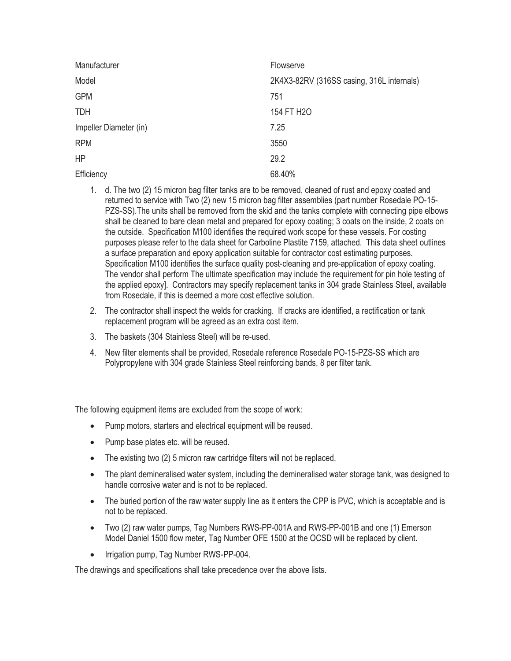| Manufacturer           | Flowserve                                 |
|------------------------|-------------------------------------------|
| Model                  | 2K4X3-82RV (316SS casing, 316L internals) |
| <b>GPM</b>             | 751                                       |
| <b>TDH</b>             | 154 FT H2O                                |
| Impeller Diameter (in) | 7.25                                      |
| <b>RPM</b>             | 3550                                      |
| <b>HP</b>              | 29.2                                      |
| Efficiency             | 68.40%                                    |

- 1. d. The two (2) 15 micron bag filter tanks are to be removed, cleaned of rust and epoxy coated and returned to service with Two (2) new 15 micron bag filter assemblies (part number Rosedale PO-15- PZS-SS).The units shall be removed from the skid and the tanks complete with connecting pipe elbows shall be cleaned to bare clean metal and prepared for epoxy coating; 3 coats on the inside, 2 coats on the outside. Specification M100 identifies the required work scope for these vessels. For costing purposes please refer to the data sheet for Carboline Plastite 7159, attached. This data sheet outlines a surface preparation and epoxy application suitable for contractor cost estimating purposes. Specification M100 identifies the surface quality post-cleaning and pre-application of epoxy coating. The vendor shall perform The ultimate specification may include the requirement for pin hole testing of the applied epoxy]. Contractors may specify replacement tanks in 304 grade Stainless Steel, available from Rosedale, if this is deemed a more cost effective solution.
- 2. The contractor shall inspect the welds for cracking. If cracks are identified, a rectification or tank replacement program will be agreed as an extra cost item.
- 3. The baskets (304 Stainless Steel) will be re-used.
- 4. New filter elements shall be provided, Rosedale reference Rosedale PO-15-PZS-SS which are Polypropylene with 304 grade Stainless Steel reinforcing bands, 8 per filter tank.

The following equipment items are excluded from the scope of work:

- -Pump motors, starters and electrical equipment will be reused.
- Pump base plates etc. will be reused.
- The existing two (2) 5 micron raw cartridge filters will not be replaced.
- The plant demineralised water system, including the demineralised water storage tank, was designed to handle corrosive water and is not to be replaced.
- The buried portion of the raw water supply line as it enters the CPP is PVC, which is acceptable and is not to be replaced.
- Two (2) raw water pumps, Tag Numbers RWS-PP-001A and RWS-PP-001B and one (1) Emerson Model Daniel 1500 flow meter, Tag Number OFE 1500 at the OCSD will be replaced by client.
- -Irrigation pump, Tag Number RWS-PP-004.

The drawings and specifications shall take precedence over the above lists.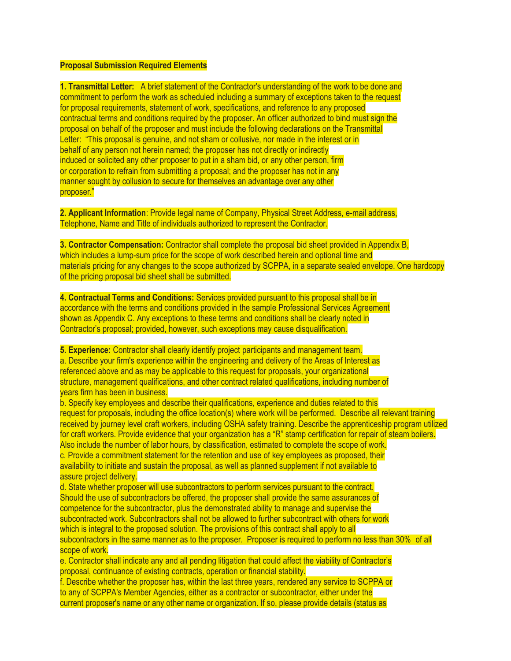#### **Proposal Submission Required Elements**

**1. Transmittal Letter:** A brief statement of the Contractor's understanding of the work to be done and commitment to perform the work as scheduled including a summary of exceptions taken to the request for proposal requirements, statement of work, specifications, and reference to any proposed contractual terms and conditions required by the proposer. An officer authorized to bind must sign the proposal on behalf of the proposer and must include the following declarations on the Transmittal Letter: "This proposal is genuine, and not sham or collusive, nor made in the interest or in behalf of any person not herein named; the proposer has not directly or indirectly induced or solicited any other proposer to put in a sham bid, or any other person, firm or corporation to refrain from submitting a proposal; and the proposer has not in any manner sought by collusion to secure for themselves an advantage over any other proposer."

**2. Applicant Information**: Provide legal name of Company, Physical Street Address, e-mail address, Telephone, Name and Title of individuals authorized to represent the Contractor.

**3. Contractor Compensation:** Contractor shall complete the proposal bid sheet provided in Appendix B, which includes a lump-sum price for the scope of work described herein and optional time and materials pricing for any changes to the scope authorized by SCPPA, in a separate sealed envelope. One hardcopy of the pricing proposal bid sheet shall be submitted.

**4. Contractual Terms and Conditions:** Services provided pursuant to this proposal shall be in accordance with the terms and conditions provided in the sample Professional Services Agreement shown as Appendix C. Any exceptions to these terms and conditions shall be clearly noted in Contractor's proposal; provided, however, such exceptions may cause disqualification.

**5. Experience:** Contractor shall clearly identify project participants and management team. a. Describe your firm's experience within the engineering and delivery of the Areas of Interest as referenced above and as may be applicable to this request for proposals, your organizational structure, management qualifications, and other contract related qualifications, including number of years firm has been in business.

b. Specify key employees and describe their qualifications, experience and duties related to this request for proposals, including the office location(s) where work will be performed. Describe all relevant training received by journey level craft workers, including OSHA safety training. Describe the apprenticeship program utilized for craft workers. Provide evidence that your organization has a "R" stamp certification for repair of steam boilers. Also include the number of labor hours, by classification, estimated to complete the scope of work. c. Provide a commitment statement for the retention and use of key employees as proposed, their availability to initiate and sustain the proposal, as well as planned supplement if not available to assure project delivery.

d. State whether proposer will use subcontractors to perform services pursuant to the contract. Should the use of subcontractors be offered, the proposer shall provide the same assurances of competence for the subcontractor, plus the demonstrated ability to manage and supervise the subcontracted work. Subcontractors shall not be allowed to further subcontract with others for work which is integral to the proposed solution. The provisions of this contract shall apply to all subcontractors in the same manner as to the proposer. Proposer is required to perform no less than 30% of all scope of work.

e. Contractor shall indicate any and all pending litigation that could affect the viability of Contractor's proposal, continuance of existing contracts, operation or financial stability.

f. Describe whether the proposer has, within the last three years, rendered any service to SCPPA or to any of SCPPA's Member Agencies, either as a contractor or subcontractor, either under the current proposer's name or any other name or organization. If so, please provide details (status as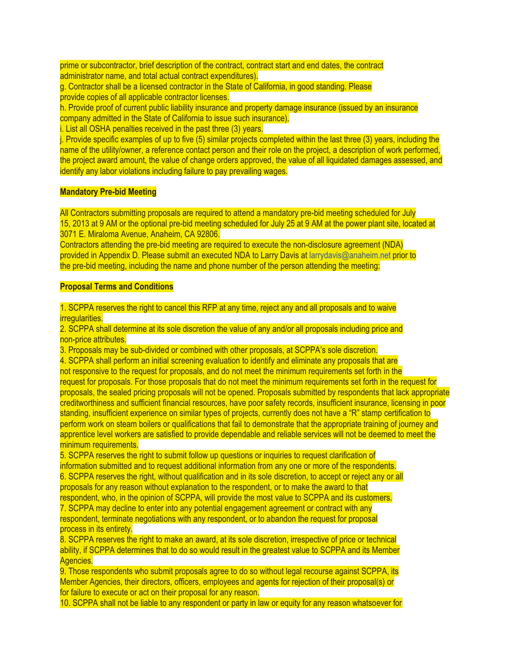prime or subcontractor, brief description of the contract, contract start and end dates, the contract administrator name, and total actual contract expenditures).

g. Contractor shall be a licensed contractor in the State of California, in good standing. Please provide copies of all applicable contractor licenses.

h. Provide proof of current public liability insurance and property damage insurance (issued by an insurance company admitted in the State of California to issue such insurance).

i. List all OSHA penalties received in the past three (3) years.

j. Provide specific examples of up to five (5) similar projects completed within the last three (3) years, including the name of the utility/owner, a reference contact person and their role on the project, a description of work performed, the project award amount, the value of change orders approved, the value of all liquidated damages assessed, and identify any labor violations including failure to pay prevailing wages.

#### **Mandatory Pre-bid Meeting**

All Contractors submitting proposals are required to attend a mandatory pre-bid meeting scheduled for July 15, 2013 at 9 AM or the optional pre-bid meeting scheduled for July 25 at 9 AM at the power plant site, located at 3071 E. Miraloma Avenue, Anaheim, CA 92806.

Contractors attending the pre-bid meeting are required to execute the non-disclosure agreement (NDA) provided in Appendix D. Please submit an executed NDA to Larry Davis at larrydavis@anaheim.net prior to the pre-bid meeting, including the name and phone number of the person attending the meeting:

#### **Proposal Terms and Conditions**

1. SCPPA reserves the right to cancel this RFP at any time, reject any and all proposals and to waive irregularities.

2. SCPPA shall determine at its sole discretion the value of any and/or all proposals including price and non-price attributes.

3. Proposals may be sub-divided or combined with other proposals, at SCPPA's sole discretion.

4. SCPPA shall perform an initial screening evaluation to identify and eliminate any proposals that are not responsive to the request for proposals, and do not meet the minimum requirements set forth in the request for proposals. For those proposals that do not meet the minimum requirements set forth in the request for proposals, the sealed pricing proposals will not be opened. Proposals submitted by respondents that lack appropriate creditworthiness and sufficient financial resources, have poor safety records, insufficient insurance, licensing in poor standing, insufficient experience on similar types of projects, currently does not have a "R" stamp certification to perform work on steam boilers or qualifications that fail to demonstrate that the appropriate training of journey and apprentice level workers are satisfied to provide dependable and reliable services will not be deemed to meet the minimum requirements.

5. SCPPA reserves the right to submit follow up questions or inquiries to request clarification of information submitted and to request additional information from any one or more of the respondents. 6. SCPPA reserves the right, without qualification and in its sole discretion, to accept or reject any or all proposals for any reason without explanation to the respondent, or to make the award to that respondent, who, in the opinion of SCPPA, will provide the most value to SCPPA and its customers. 7. SCPPA may decline to enter into any potential engagement agreement or contract with any

respondent, terminate negotiations with any respondent, or to abandon the request for proposal process in its entirety.

8. SCPPA reserves the right to make an award, at its sole discretion, irrespective of price or technical ability, if SCPPA determines that to do so would result in the greatest value to SCPPA and its Member Agencies.

9. Those respondents who submit proposals agree to do so without legal recourse against SCPPA, its Member Agencies, their directors, officers, employees and agents for rejection of their proposal(s) or for failure to execute or act on their proposal for any reason.

10. SCPPA shall not be liable to any respondent or party in law or equity for any reason whatsoever for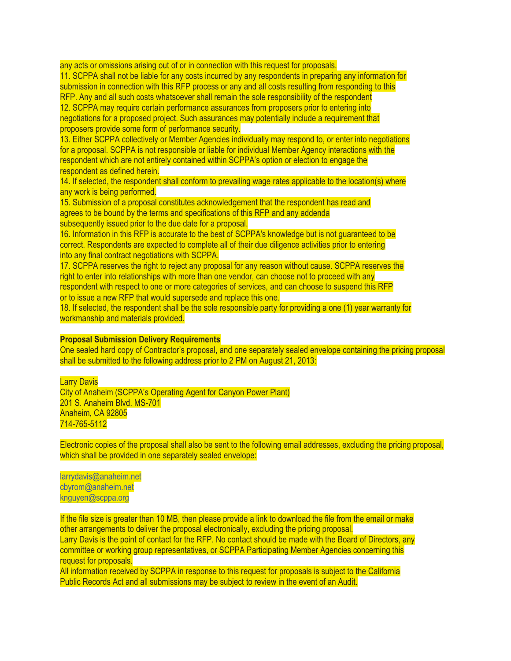any acts or omissions arising out of or in connection with this request for proposals.

11. SCPPA shall not be liable for any costs incurred by any respondents in preparing any information for submission in connection with this RFP process or any and all costs resulting from responding to this RFP. Any and all such costs whatsoever shall remain the sole responsibility of the respondent 12. SCPPA may require certain performance assurances from proposers prior to entering into negotiations for a proposed project. Such assurances may potentially include a requirement that proposers provide some form of performance security.

13. Either SCPPA collectively or Member Agencies individually may respond to, or enter into negotiations for a proposal. SCPPA is not responsible or liable for individual Member Agency interactions with the respondent which are not entirely contained within SCPPA's option or election to engage the respondent as defined herein.

14. If selected, the respondent shall conform to prevailing wage rates applicable to the location(s) where any work is being performed.

15. Submission of a proposal constitutes acknowledgement that the respondent has read and agrees to be bound by the terms and specifications of this RFP and any addenda subsequently issued prior to the due date for a proposal.

16. Information in this RFP is accurate to the best of SCPPA's knowledge but is not guaranteed to be correct. Respondents are expected to complete all of their due diligence activities prior to entering into any final contract negotiations with SCPPA.

17. SCPPA reserves the right to reject any proposal for any reason without cause. SCPPA reserves the right to enter into relationships with more than one vendor, can choose not to proceed with any respondent with respect to one or more categories of services, and can choose to suspend this RFP or to issue a new RFP that would supersede and replace this one.

18. If selected, the respondent shall be the sole responsible party for providing a one (1) year warranty for workmanship and materials provided.

#### **Proposal Submission Delivery Requirements**

One sealed hard copy of Contractor's proposal, and one separately sealed envelope containing the pricing proposal shall be submitted to the following address prior to 2 PM on August 21, 2013:

#### Larry Davis

City of Anaheim (SCPPA's Operating Agent for Canyon Power Plant) 201 S. Anaheim Blvd. MS-701 Anaheim, CA 92805 714-765-5112

Electronic copies of the proposal shall also be sent to the following email addresses, excluding the pricing proposal, which shall be provided in one separately sealed envelope:

larrydavis@anaheim.net cbyrom@anaheim.net knguyen@scppa.org

If the file size is greater than 10 MB, then please provide a link to download the file from the email or make other arrangements to deliver the proposal electronically, excluding the pricing proposal. Larry Davis is the point of contact for the RFP. No contact should be made with the Board of Directors, any committee or working group representatives, or SCPPA Participating Member Agencies concerning this request for proposals.

All information received by SCPPA in response to this request for proposals is subject to the California Public Records Act and all submissions may be subject to review in the event of an Audit.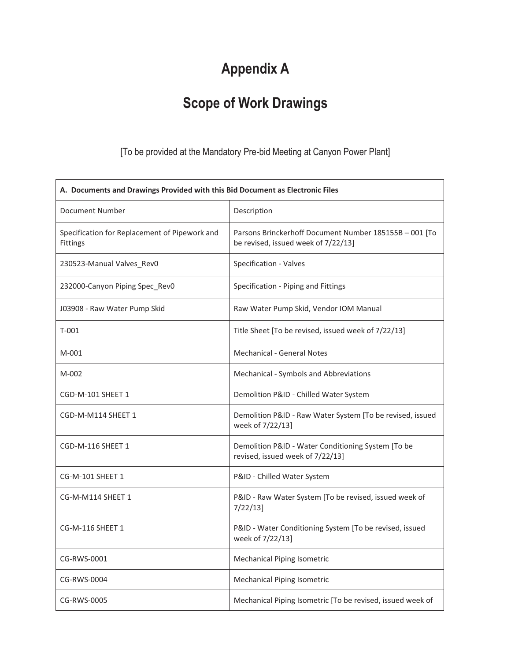# **Appendix A**

# **Scope of Work Drawings**

## [To be provided at the Mandatory Pre-bid Meeting at Canyon Power Plant]

| A. Documents and Drawings Provided with this Bid Document as Electronic Files |                                                                                               |
|-------------------------------------------------------------------------------|-----------------------------------------------------------------------------------------------|
| Document Number                                                               | Description                                                                                   |
| Specification for Replacement of Pipework and<br>Fittings                     | Parsons Brinckerhoff Document Number 185155B - 001 [To<br>be revised, issued week of 7/22/13] |
| 230523-Manual Valves_Rev0                                                     | Specification - Valves                                                                        |
| 232000-Canyon Piping Spec_Rev0                                                | Specification - Piping and Fittings                                                           |
| J03908 - Raw Water Pump Skid                                                  | Raw Water Pump Skid, Vendor IOM Manual                                                        |
| $T-001$                                                                       | Title Sheet [To be revised, issued week of 7/22/13]                                           |
| $M-001$                                                                       | <b>Mechanical - General Notes</b>                                                             |
| M-002                                                                         | Mechanical - Symbols and Abbreviations                                                        |
| CGD-M-101 SHEET 1                                                             | Demolition P&ID - Chilled Water System                                                        |
| CGD-M-M114 SHEET 1                                                            | Demolition P&ID - Raw Water System [To be revised, issued<br>week of 7/22/13]                 |
| CGD-M-116 SHEET 1                                                             | Demolition P&ID - Water Conditioning System [To be<br>revised, issued week of 7/22/13]        |
| CG-M-101 SHEET 1                                                              | P&ID - Chilled Water System                                                                   |
| CG-M-M114 SHEET 1                                                             | P&ID - Raw Water System [To be revised, issued week of<br>$7/22/13$ ]                         |
| CG-M-116 SHEET 1                                                              | P&ID - Water Conditioning System [To be revised, issued<br>week of 7/22/13]                   |
| CG-RWS-0001                                                                   | <b>Mechanical Piping Isometric</b>                                                            |
| CG-RWS-0004                                                                   | <b>Mechanical Piping Isometric</b>                                                            |
| CG-RWS-0005                                                                   | Mechanical Piping Isometric [To be revised, issued week of                                    |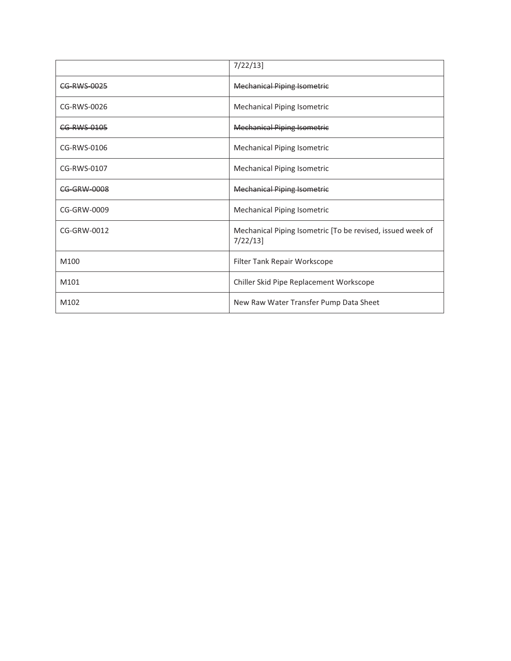|             | $7/22/13$ ]                                                               |
|-------------|---------------------------------------------------------------------------|
| CG-RWS-0025 | <b>Mechanical Piping Isometric</b>                                        |
| CG-RWS-0026 | <b>Mechanical Piping Isometric</b>                                        |
| CG-RWS-0105 | <b>Mechanical Piping Isometric</b>                                        |
| CG-RWS-0106 | <b>Mechanical Piping Isometric</b>                                        |
| CG-RWS-0107 | <b>Mechanical Piping Isometric</b>                                        |
| CG-GRW-0008 | <b>Mechanical Piping Isometric</b>                                        |
| CG-GRW-0009 | <b>Mechanical Piping Isometric</b>                                        |
| CG-GRW-0012 | Mechanical Piping Isometric [To be revised, issued week of<br>$7/22/13$ ] |
| M100        | Filter Tank Repair Workscope                                              |
| M101        | Chiller Skid Pipe Replacement Workscope                                   |
| M102        | New Raw Water Transfer Pump Data Sheet                                    |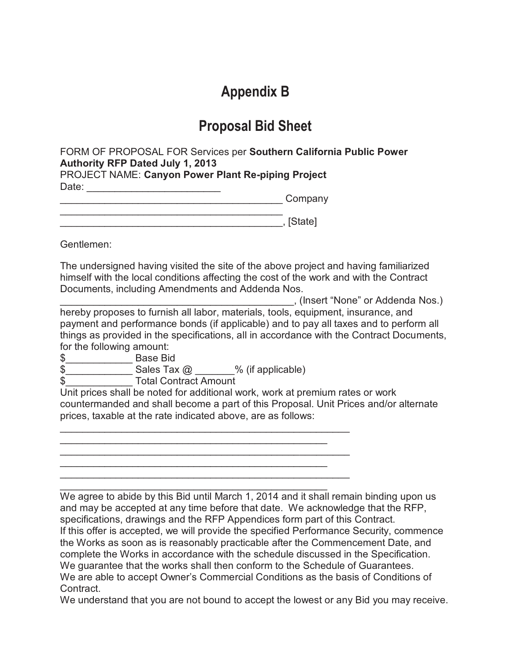# **Appendix B**

# **Proposal Bid Sheet**

FORM OF PROPOSAL FOR Services per **Southern California Public Power Authority RFP Dated July 1, 2013**

PROJECT NAME: **Canyon Power Plant Re-piping Project** Date: \_\_\_\_\_\_\_\_\_\_\_\_\_\_\_\_\_\_\_\_\_\_\_\_

and the company company company

\_\_\_\_\_\_\_\_\_\_\_\_\_\_\_\_\_\_\_\_\_\_\_\_\_\_\_\_\_\_\_\_\_\_\_\_\_\_\_\_ \_\_\_\_\_\_\_\_\_\_\_\_\_\_\_\_\_\_\_\_\_\_\_\_\_\_\_\_\_\_\_\_\_\_\_\_\_\_\_\_, [State]

Gentlemen:

The undersigned having visited the site of the above project and having familiarized himself with the local conditions affecting the cost of the work and with the Contract Documents, including Amendments and Addenda Nos.

\_\_\_\_\_\_\_\_\_\_\_\_\_\_\_\_\_\_\_\_\_\_\_\_\_\_\_\_\_\_\_\_\_\_\_\_\_\_\_\_\_\_, (Insert "None" or Addenda Nos.) hereby proposes to furnish all labor, materials, tools, equipment, insurance, and payment and performance bonds (if applicable) and to pay all taxes and to perform all things as provided in the specifications, all in accordance with the Contract Documents, for the following amount:

\$\_\_\_\_\_\_\_\_\_\_\_\_ Base Bid

 $\frac{1}{2}$  Sales Tax  $\frac{1}{2}$  % (if applicable)

\_\_\_\_\_\_\_\_\_\_\_\_\_\_\_\_\_\_\_\_\_\_\_\_\_\_\_\_\_\_\_\_\_\_\_\_\_\_\_\_\_\_\_\_\_\_\_\_\_\_\_\_ \_\_\_\_\_\_\_\_\_\_\_\_\_\_\_\_\_\_\_\_\_\_\_\_\_\_\_\_\_\_\_\_\_\_\_\_\_\_\_\_\_\_\_\_\_\_\_\_ \_\_\_\_\_\_\_\_\_\_\_\_\_\_\_\_\_\_\_\_\_\_\_\_\_\_\_\_\_\_\_\_\_\_\_\_\_\_\_\_\_\_\_\_\_\_\_\_\_\_\_\_ \_\_\_\_\_\_\_\_\_\_\_\_\_\_\_\_\_\_\_\_\_\_\_\_\_\_\_\_\_\_\_\_\_\_\_\_\_\_\_\_\_\_\_\_\_\_\_\_ \_\_\_\_\_\_\_\_\_\_\_\_\_\_\_\_\_\_\_\_\_\_\_\_\_\_\_\_\_\_\_\_\_\_\_\_\_\_\_\_\_\_\_\_\_\_\_\_\_\_\_\_

\$ Total Contract Amount

Unit prices shall be noted for additional work, work at premium rates or work countermanded and shall become a part of this Proposal. Unit Prices and/or alternate prices, taxable at the rate indicated above, are as follows:

\_\_\_\_\_\_\_\_\_\_\_\_\_\_\_\_\_\_\_\_\_\_\_\_\_\_\_\_\_\_\_\_\_\_\_\_\_\_\_\_\_\_\_\_\_\_\_\_ We agree to abide by this Bid until March 1, 2014 and it shall remain binding upon us and may be accepted at any time before that date. We acknowledge that the RFP, specifications, drawings and the RFP Appendices form part of this Contract. If this offer is accepted, we will provide the specified Performance Security, commence the Works as soon as is reasonably practicable after the Commencement Date, and complete the Works in accordance with the schedule discussed in the Specification. We guarantee that the works shall then conform to the Schedule of Guarantees. We are able to accept Owner's Commercial Conditions as the basis of Conditions of Contract.

We understand that you are not bound to accept the lowest or any Bid you may receive.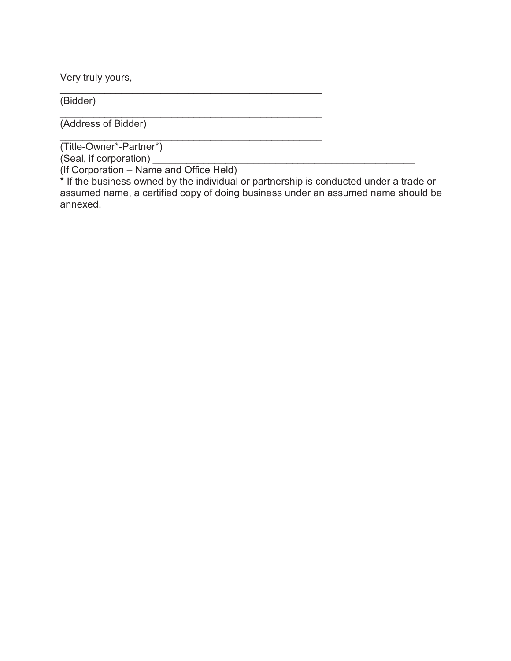Very truly yours,

(Bidder)

(Address of Bidder)

\_\_\_\_\_\_\_\_\_\_\_\_\_\_\_\_\_\_\_\_\_\_\_\_\_\_\_\_\_\_\_\_\_\_\_\_\_\_\_\_\_\_\_\_\_\_\_ (Title-Owner\*-Partner\*)

(Seal, if corporation) \_\_\_\_\_\_\_\_\_\_\_\_\_\_\_\_\_\_\_\_\_\_\_\_\_\_\_\_\_\_\_\_\_\_\_\_\_\_\_\_\_\_\_\_\_\_\_

(If Corporation – Name and Office Held)

\_\_\_\_\_\_\_\_\_\_\_\_\_\_\_\_\_\_\_\_\_\_\_\_\_\_\_\_\_\_\_\_\_\_\_\_\_\_\_\_\_\_\_\_\_\_\_

\_\_\_\_\_\_\_\_\_\_\_\_\_\_\_\_\_\_\_\_\_\_\_\_\_\_\_\_\_\_\_\_\_\_\_\_\_\_\_\_\_\_\_\_\_\_\_

\* If the business owned by the individual or partnership is conducted under a trade or assumed name, a certified copy of doing business under an assumed name should be annexed.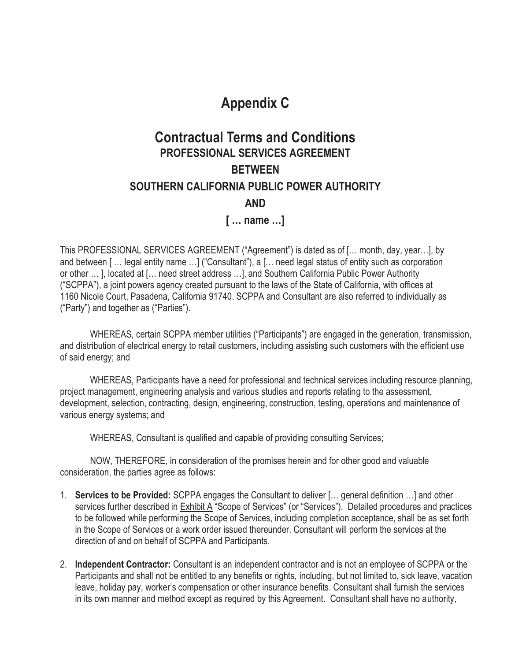# **Appendix C**

## **Contractual Terms and Conditions PROFESSIONAL SERVICES AGREEMENT BETWEEN SOUTHERN CALIFORNIA PUBLIC POWER AUTHORITY AND [ … name …]**

This PROFESSIONAL SERVICES AGREEMENT ("Agreement") is dated as of [… month, day, year…], by and between [ … legal entity name …] ("Consultant"), a [… need legal status of entity such as corporation or other … ], located at [… need street address …], and Southern California Public Power Authority ("SCPPA"), a joint powers agency created pursuant to the laws of the State of California, with offices at 1160 Nicole Court, Pasadena, California 91740. SCPPA and Consultant are also referred to individually as ("Party") and together as ("Parties").

WHEREAS, certain SCPPA member utilities ("Participants") are engaged in the generation, transmission, and distribution of electrical energy to retail customers, including assisting such customers with the efficient use of said energy; and

WHEREAS, Participants have a need for professional and technical services including resource planning, project management, engineering analysis and various studies and reports relating to the assessment, development, selection, contracting, design, engineering, construction, testing, operations and maintenance of various energy systems; and

WHEREAS, Consultant is qualified and capable of providing consulting Services;

NOW, THEREFORE, in consideration of the promises herein and for other good and valuable consideration, the parties agree as follows:

- 1. **Services to be Provided:** SCPPA engages the Consultant to deliver [… general definition …] and other services further described in Exhibit A "Scope of Services" (or "Services"). Detailed procedures and practices to be followed while performing the Scope of Services, including completion acceptance, shall be as set forth in the Scope of Services or a work order issued thereunder. Consultant will perform the services at the direction of and on behalf of SCPPA and Participants.
- 2. **Independent Contractor:** Consultant is an independent contractor and is not an employee of SCPPA or the Participants and shall not be entitled to any benefits or rights, including, but not limited to, sick leave, vacation leave, holiday pay, worker's compensation or other insurance benefits. Consultant shall furnish the services in its own manner and method except as required by this Agreement. Consultant shall have no authority,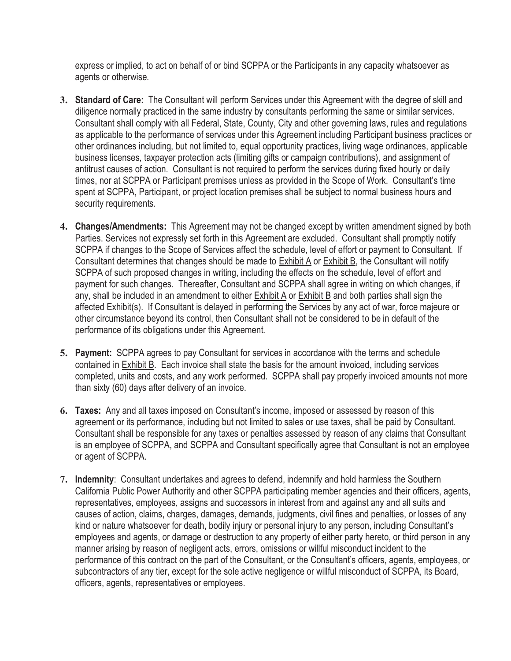express or implied, to act on behalf of or bind SCPPA or the Participants in any capacity whatsoever as agents or otherwise.

- **3. Standard of Care:** The Consultant will perform Services under this Agreement with the degree of skill and diligence normally practiced in the same industry by consultants performing the same or similar services. Consultant shall comply with all Federal, State, County, City and other governing laws, rules and regulations as applicable to the performance of services under this Agreement including Participant business practices or other ordinances including, but not limited to, equal opportunity practices, living wage ordinances, applicable business licenses, taxpayer protection acts (limiting gifts or campaign contributions), and assignment of antitrust causes of action. Consultant is not required to perform the services during fixed hourly or daily times, nor at SCPPA or Participant premises unless as provided in the Scope of Work. Consultant's time spent at SCPPA, Participant, or project location premises shall be subject to normal business hours and security requirements.
- **4. Changes/Amendments:** This Agreement may not be changed except by written amendment signed by both Parties. Services not expressly set forth in this Agreement are excluded. Consultant shall promptly notify SCPPA if changes to the Scope of Services affect the schedule, level of effort or payment to Consultant. If Consultant determines that changes should be made to Exhibit A or Exhibit B, the Consultant will notify SCPPA of such proposed changes in writing, including the effects on the schedule, level of effort and payment for such changes. Thereafter, Consultant and SCPPA shall agree in writing on which changes, if any, shall be included in an amendment to either Exhibit A or Exhibit B and both parties shall sign the affected Exhibit(s). If Consultant is delayed in performing the Services by any act of war, force majeure or other circumstance beyond its control, then Consultant shall not be considered to be in default of the performance of its obligations under this Agreement.
- **5. Payment:** SCPPA agrees to pay Consultant for services in accordance with the terms and schedule contained in Exhibit B. Each invoice shall state the basis for the amount invoiced, including services completed, units and costs, and any work performed. SCPPA shall pay properly invoiced amounts not more than sixty (60) days after delivery of an invoice.
- **6. Taxes:** Any and all taxes imposed on Consultant's income, imposed or assessed by reason of this agreement or its performance, including but not limited to sales or use taxes, shall be paid by Consultant. Consultant shall be responsible for any taxes or penalties assessed by reason of any claims that Consultant is an employee of SCPPA, and SCPPA and Consultant specifically agree that Consultant is not an employee or agent of SCPPA.
- **7. Indemnity**: Consultant undertakes and agrees to defend, indemnify and hold harmless the Southern California Public Power Authority and other SCPPA participating member agencies and their officers, agents, representatives, employees, assigns and successors in interest from and against any and all suits and causes of action, claims, charges, damages, demands, judgments, civil fines and penalties, or losses of any kind or nature whatsoever for death, bodily injury or personal injury to any person, including Consultant's employees and agents, or damage or destruction to any property of either party hereto, or third person in any manner arising by reason of negligent acts, errors, omissions or willful misconduct incident to the performance of this contract on the part of the Consultant, or the Consultant's officers, agents, employees, or subcontractors of any tier, except for the sole active negligence or willful misconduct of SCPPA, its Board, officers, agents, representatives or employees.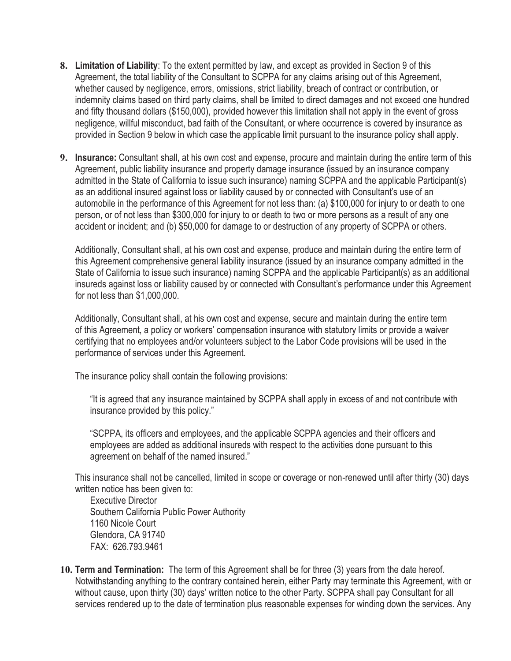- **8. Limitation of Liability**: To the extent permitted by law, and except as provided in Section 9 of this Agreement, the total liability of the Consultant to SCPPA for any claims arising out of this Agreement, whether caused by negligence, errors, omissions, strict liability, breach of contract or contribution, or indemnity claims based on third party claims, shall be limited to direct damages and not exceed one hundred and fifty thousand dollars (\$150,000), provided however this limitation shall not apply in the event of gross negligence, willful misconduct, bad faith of the Consultant, or where occurrence is covered by insurance as provided in Section 9 below in which case the applicable limit pursuant to the insurance policy shall apply.
- **9. Insurance:** Consultant shall, at his own cost and expense, procure and maintain during the entire term of this Agreement, public liability insurance and property damage insurance (issued by an insurance company admitted in the State of California to issue such insurance) naming SCPPA and the applicable Participant(s) as an additional insured against loss or liability caused by or connected with Consultant's use of an automobile in the performance of this Agreement for not less than: (a) \$100,000 for injury to or death to one person, or of not less than \$300,000 for injury to or death to two or more persons as a result of any one accident or incident; and (b) \$50,000 for damage to or destruction of any property of SCPPA or others.

Additionally, Consultant shall, at his own cost and expense, produce and maintain during the entire term of this Agreement comprehensive general liability insurance (issued by an insurance company admitted in the State of California to issue such insurance) naming SCPPA and the applicable Participant(s) as an additional insureds against loss or liability caused by or connected with Consultant's performance under this Agreement for not less than \$1,000,000.

Additionally, Consultant shall, at his own cost and expense, secure and maintain during the entire term of this Agreement, a policy or workers' compensation insurance with statutory limits or provide a waiver certifying that no employees and/or volunteers subject to the Labor Code provisions will be used in the performance of services under this Agreement.

The insurance policy shall contain the following provisions:

"It is agreed that any insurance maintained by SCPPA shall apply in excess of and not contribute with insurance provided by this policy."

"SCPPA, its officers and employees, and the applicable SCPPA agencies and their officers and employees are added as additional insureds with respect to the activities done pursuant to this agreement on behalf of the named insured."

This insurance shall not be cancelled, limited in scope or coverage or non-renewed until after thirty (30) days written notice has been given to:

Executive Director Southern California Public Power Authority 1160 Nicole Court Glendora, CA 91740 FAX: 626.793.9461

**10. Term and Termination:** The term of this Agreement shall be for three (3) years from the date hereof. Notwithstanding anything to the contrary contained herein, either Party may terminate this Agreement, with or without cause, upon thirty (30) days' written notice to the other Party. SCPPA shall pay Consultant for all services rendered up to the date of termination plus reasonable expenses for winding down the services. Any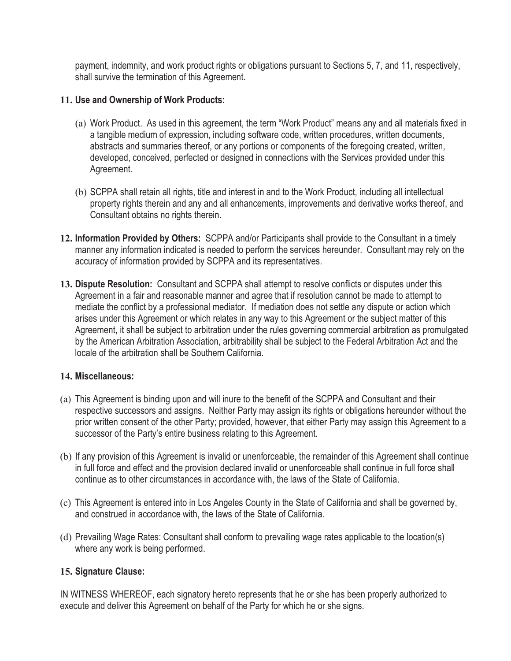payment, indemnity, and work product rights or obligations pursuant to Sections 5, 7, and 11, respectively, shall survive the termination of this Agreement.

### **11. Use and Ownership of Work Products:**

- (a) Work Product. As used in this agreement, the term "Work Product" means any and all materials fixed in a tangible medium of expression, including software code, written procedures, written documents, abstracts and summaries thereof, or any portions or components of the foregoing created, written, developed, conceived, perfected or designed in connections with the Services provided under this Agreement.
- (b) SCPPA shall retain all rights, title and interest in and to the Work Product, including all intellectual property rights therein and any and all enhancements, improvements and derivative works thereof, and Consultant obtains no rights therein.
- **12. Information Provided by Others:** SCPPA and/or Participants shall provide to the Consultant in a timely manner any information indicated is needed to perform the services hereunder. Consultant may rely on the accuracy of information provided by SCPPA and its representatives.
- **13. Dispute Resolution:** Consultant and SCPPA shall attempt to resolve conflicts or disputes under this Agreement in a fair and reasonable manner and agree that if resolution cannot be made to attempt to mediate the conflict by a professional mediator. If mediation does not settle any dispute or action which arises under this Agreement or which relates in any way to this Agreement or the subject matter of this Agreement, it shall be subject to arbitration under the rules governing commercial arbitration as promulgated by the American Arbitration Association, arbitrability shall be subject to the Federal Arbitration Act and the locale of the arbitration shall be Southern California.

### **14. Miscellaneous:**

- (a) This Agreement is binding upon and will inure to the benefit of the SCPPA and Consultant and their respective successors and assigns. Neither Party may assign its rights or obligations hereunder without the prior written consent of the other Party; provided, however, that either Party may assign this Agreement to a successor of the Party's entire business relating to this Agreement.
- (b) If any provision of this Agreement is invalid or unenforceable, the remainder of this Agreement shall continue in full force and effect and the provision declared invalid or unenforceable shall continue in full force shall continue as to other circumstances in accordance with, the laws of the State of California.
- (c) This Agreement is entered into in Los Angeles County in the State of California and shall be governed by, and construed in accordance with, the laws of the State of California.
- (d) Prevailing Wage Rates: Consultant shall conform to prevailing wage rates applicable to the location(s) where any work is being performed.

### **15. Signature Clause:**

IN WITNESS WHEREOF, each signatory hereto represents that he or she has been properly authorized to execute and deliver this Agreement on behalf of the Party for which he or she signs.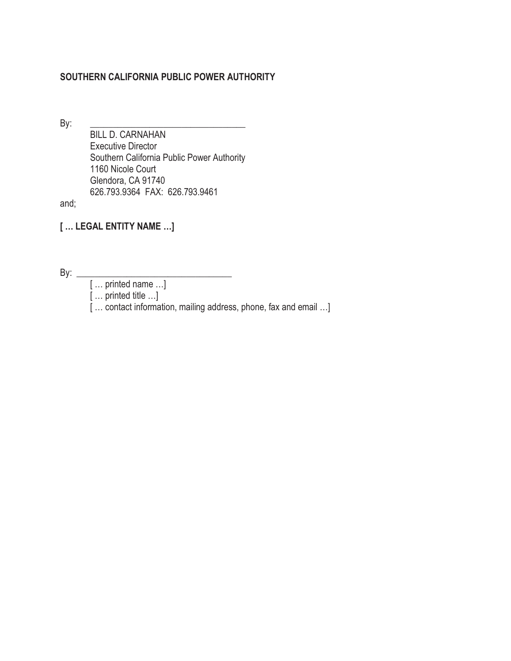### **SOUTHERN CALIFORNIA PUBLIC POWER AUTHORITY**

By: \_\_\_\_\_\_\_\_\_\_\_\_\_\_\_\_\_\_\_\_\_\_\_\_\_\_\_\_\_\_\_\_\_\_

 BILL D. CARNAHAN Executive Director Southern California Public Power Authority 1160 Nicole Court Glendora, CA 91740 626.793.9364 FAX: 626.793.9461

and;

**[ … LEGAL ENTITY NAME …]** 

By: \_\_\_\_\_\_\_\_\_\_\_\_\_\_\_\_\_\_\_\_\_\_\_\_\_\_\_\_\_\_\_\_\_\_

[ … printed name …]

[ … printed title …]

[ ... contact information, mailing address, phone, fax and email ...]